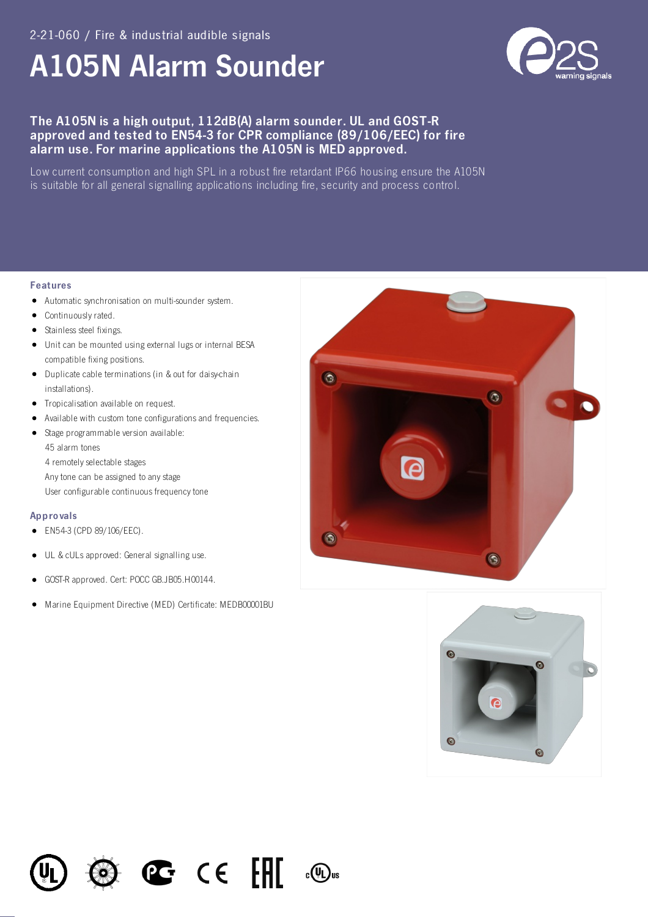# **A105N Alarm Sounder**



# The A105N is a high output, 112dB(A) alarm sounder. UL and GOST-R approved and tested to EN54-3 for CPR compliance (89/106/EEC) for fire alarm use. For marine applications the A105N is MED approved.

Low current consumption and high SPL in a robust fire retardant IP66 housing ensure the A105N is suitable for all general signalling applications including fire, security and process control.

### **Features**

- Automatic synchronisation on multi-sounder system.  $\bullet$
- Continuously rated.
- Stainless steel fixings.
- Unit can be mounted using external lugs or internal BESA compatible fixing positions.
- Duplicate cable terminations (in & out for daisy-chain installations).
- Tropicalisation available on request.
- Available with custom tone configurations and frequencies.  $\bullet$
- · Stage programmable version available: 45 alarm tones 4 remotely selectable stages Any tone can be assigned to any stage User configurable continuous frequency tone

## Approvals

- EN54-3 (CPD 89/106/EEC).
- UL & cULs approved: General signalling use.  $\bullet$
- GOST-R approved. Cert: POCC GB.JB05.H00144.  $\bullet$
- Marine Equipment Directive (MED) Certificate: MEDB00001BU  $\bullet$

 $\mathbb{C}$   $\in$   $\mathbb{H}$ 

 $_{c}$ (U<sub>L</sub>)<sub>us</sub>





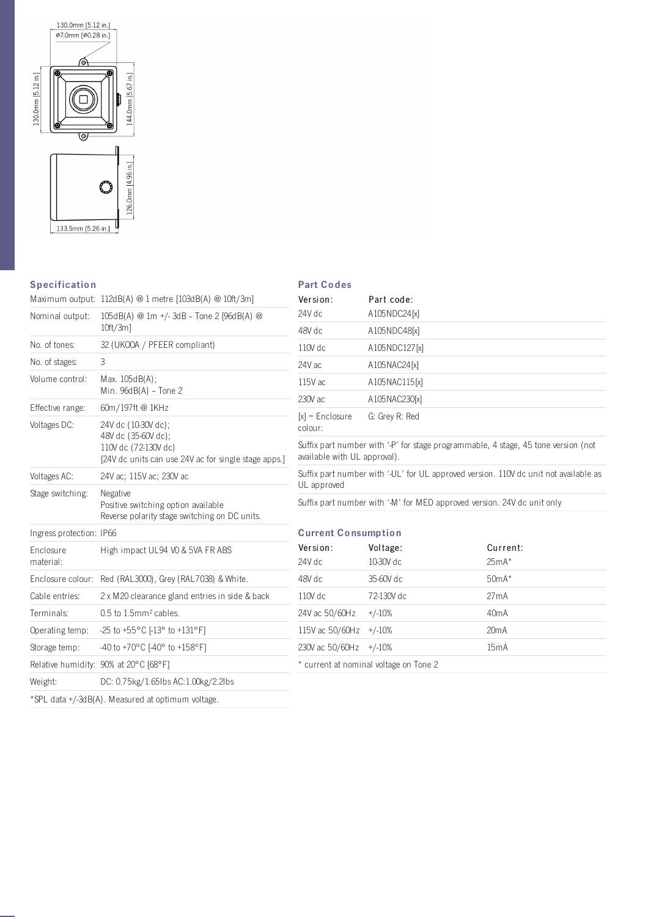

# **Specification**

## **Part Codes**

|                          | Maximum output: 112dB(A) @ 1 metre [103dB(A) @ 10ft/3m]                                                                    |  |  |
|--------------------------|----------------------------------------------------------------------------------------------------------------------------|--|--|
| Nominal output:          | 105dB(A) @ 1m +/- 3dB - Tone 2 [96dB(A) @<br>$10ft/3m$ ]                                                                   |  |  |
| No. of tones:            | 32 (UKOOA / PFEER compliant)                                                                                               |  |  |
| No. of stages:           | 3                                                                                                                          |  |  |
| Volume control:          | Max. 105dB(A);<br>Min. 96dB(A) - Tone 2                                                                                    |  |  |
| Effective range:         | 60m/197ft @ 1KHz                                                                                                           |  |  |
| Voltages DC:             | 24V dc (10-30V dc);<br>48V dc (35-60V dc);<br>110V dc (72-130V dc)<br>[24V dc units can use 24V ac for single stage apps.] |  |  |
| Voltages AC:             | 24V ac: 115V ac: 230V ac                                                                                                   |  |  |
| Stage switching:         | Negative<br>Positive switching option available<br>Reverse polarity stage switching on DC units.                           |  |  |
| Ingress protection: IP66 |                                                                                                                            |  |  |
| Enclosure<br>material:   | High impact UL94 VO & 5VA FR ABS                                                                                           |  |  |
| Enclosure colour:        | Red (RAL3000), Grey (RAL7038) & White.                                                                                     |  |  |
| Cable entries:           | 2 x M20 clearance gland entries in side & back                                                                             |  |  |
| Terminals:               | 0.5 to 1.5mm <sup>2</sup> cables.                                                                                          |  |  |
| Operating temp:          | -25 to +55 °C $[-13^{\circ}$ to +131 °F]                                                                                   |  |  |
| Storage temp:            | -40 to +70°C [-40° to +158°F]                                                                                              |  |  |
|                          | Relative humidity: 90% at 20°C [68°F]                                                                                      |  |  |
| Weight:                  | DC: 0.75kg/1.65lbs AC:1.00kg/2.2lbs                                                                                        |  |  |
|                          | *SPL data +/-3dB(A). Measured at optimum voltage.                                                                          |  |  |

| Version:                     | Part code:                             |                                                                                      |
|------------------------------|----------------------------------------|--------------------------------------------------------------------------------------|
| 24V dc                       | A105NDC24[x]                           |                                                                                      |
| 48V dc                       | A105NDC48[x]                           |                                                                                      |
| $110V$ dc                    | A105NDC127[x]                          |                                                                                      |
| 24V ac                       | A105NAC24[x]                           |                                                                                      |
| 115V ac                      | A105NAC115[x]                          |                                                                                      |
| 230V ac                      | A105NAC230[x]                          |                                                                                      |
| $[x]$ = Enclosure<br>colour: | G: Grey R: Red                         |                                                                                      |
| available with UL approval). |                                        | Suffix part number with '-P' for stage programmable, 4 stage, 45 tone version (not   |
| UL approved                  |                                        | Suffix part number with '-UL' for UL approved version. 110V dc unit not available as |
|                              |                                        | Suffix part number with '-M' for MED approved version. 24V dc unit only              |
|                              |                                        |                                                                                      |
| <b>Current Consumption</b>   |                                        |                                                                                      |
| Version:                     | Voltage:                               | Current:                                                                             |
| 24V dc                       | 10-30V dc                              | $25mA*$                                                                              |
| 48V dc                       | 35-60V dc                              | $50mA*$                                                                              |
| 110V dc                      | 72-130V dc                             | 27mA                                                                                 |
| 24V ac 50/60Hz               | $+/-10%$                               | 40 <sub>m</sub> A                                                                    |
| 115V ac 50/60Hz              | $+/-10%$                               | 20mA                                                                                 |
| 230V ac 50/60Hz              | $+/-10%$                               | 15mA                                                                                 |
|                              | * current at nominal voltage on Tone 2 |                                                                                      |